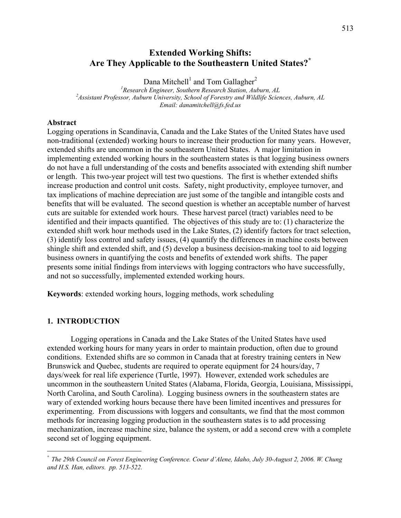## **Extended Working Shifts: Are They Applicable to the Southeastern United States?\***

Dana Mitchell<sup>1</sup> and Tom Gallagher<sup>2</sup> <sup>1</sup> Research Engineer, Southern Research Station, Auburn, AL<br><sup>2</sup> Assistant Purfessor, Auburn University, School of Equation and Wildlife Science *Assistant Professor, Auburn University, School of Forestry and Wildlife Sciences, Auburn, AL Email: danamitchell@fs.fed.us* 

## **Abstract**

Logging operations in Scandinavia, Canada and the Lake States of the United States have used non-traditional (extended) working hours to increase their production for many years. However, extended shifts are uncommon in the southeastern United States. A major limitation in implementing extended working hours in the southeastern states is that logging business owners do not have a full understanding of the costs and benefits associated with extending shift number or length. This two-year project will test two questions. The first is whether extended shifts increase production and control unit costs. Safety, night productivity, employee turnover, and tax implications of machine depreciation are just some of the tangible and intangible costs and benefits that will be evaluated. The second question is whether an acceptable number of harvest cuts are suitable for extended work hours. These harvest parcel (tract) variables need to be identified and their impacts quantified. The objectives of this study are to: (1) characterize the extended shift work hour methods used in the Lake States, (2) identify factors for tract selection, (3) identify loss control and safety issues, (4) quantify the differences in machine costs between shingle shift and extended shift, and (5) develop a business decision-making tool to aid logging business owners in quantifying the costs and benefits of extended work shifts. The paper presents some initial findings from interviews with logging contractors who have successfully, and not so successfully, implemented extended working hours.

**Keywords**: extended working hours, logging methods, work scheduling

## **1. INTRODUCTION**

 $\overline{a}$ 

Logging operations in Canada and the Lake States of the United States have used extended working hours for many years in order to maintain production, often due to ground conditions. Extended shifts are so common in Canada that at forestry training centers in New Brunswick and Quebec, students are required to operate equipment for 24 hours/day, 7 days/week for real life experience (Turtle, 1997). However, extended work schedules are uncommon in the southeastern United States (Alabama, Florida, Georgia, Louisiana, Mississippi, North Carolina, and South Carolina). Logging business owners in the southeastern states are wary of extended working hours because there have been limited incentives and pressures for experimenting. From discussions with loggers and consultants, we find that the most common methods for increasing logging production in the southeastern states is to add processing mechanization, increase machine size, balance the system, or add a second crew with a complete second set of logging equipment.

<sup>\*</sup> *The 29th Council on Forest Engineering Conference. Coeur d'Alene, Idaho, July 30-August 2, 2006. W. Chung and H.S. Han, editors. pp. 513-522.*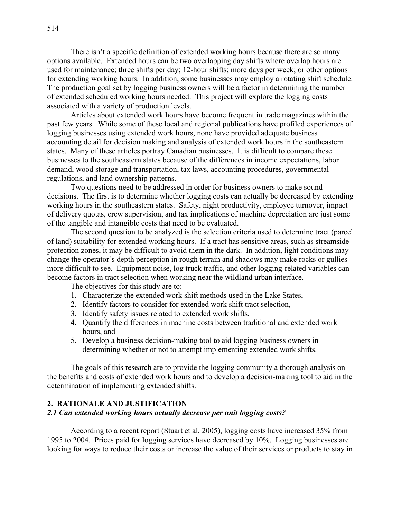There isn't a specific definition of extended working hours because there are so many options available. Extended hours can be two overlapping day shifts where overlap hours are used for maintenance; three shifts per day; 12-hour shifts; more days per week; or other options for extending working hours. In addition, some businesses may employ a rotating shift schedule. The production goal set by logging business owners will be a factor in determining the number of extended scheduled working hours needed. This project will explore the logging costs associated with a variety of production levels.

Articles about extended work hours have become frequent in trade magazines within the past few years. While some of these local and regional publications have profiled experiences of logging businesses using extended work hours, none have provided adequate business accounting detail for decision making and analysis of extended work hours in the southeastern states. Many of these articles portray Canadian businesses. It is difficult to compare these businesses to the southeastern states because of the differences in income expectations, labor demand, wood storage and transportation, tax laws, accounting procedures, governmental regulations, and land ownership patterns.

Two questions need to be addressed in order for business owners to make sound decisions. The first is to determine whether logging costs can actually be decreased by extending working hours in the southeastern states. Safety, night productivity, employee turnover, impact of delivery quotas, crew supervision, and tax implications of machine depreciation are just some of the tangible and intangible costs that need to be evaluated.

The second question to be analyzed is the selection criteria used to determine tract (parcel of land) suitability for extended working hours. If a tract has sensitive areas, such as streamside protection zones, it may be difficult to avoid them in the dark. In addition, light conditions may change the operator's depth perception in rough terrain and shadows may make rocks or gullies more difficult to see. Equipment noise, log truck traffic, and other logging-related variables can become factors in tract selection when working near the wildland urban interface.

The objectives for this study are to:

- 1. Characterize the extended work shift methods used in the Lake States,
- 2. Identify factors to consider for extended work shift tract selection,
- 3. Identify safety issues related to extended work shifts,
- 4. Quantify the differences in machine costs between traditional and extended work hours, and
- 5. Develop a business decision-making tool to aid logging business owners in determining whether or not to attempt implementing extended work shifts.

The goals of this research are to provide the logging community a thorough analysis on the benefits and costs of extended work hours and to develop a decision-making tool to aid in the determination of implementing extended shifts.

## **2. RATIONALE AND JUSTIFICATION**

#### *2.1 Can extended working hours actually decrease per unit logging costs?*

According to a recent report (Stuart et al, 2005), logging costs have increased 35% from 1995 to 2004. Prices paid for logging services have decreased by 10%. Logging businesses are looking for ways to reduce their costs or increase the value of their services or products to stay in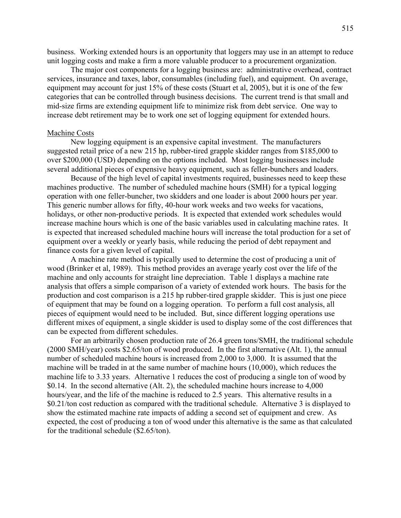business. Working extended hours is an opportunity that loggers may use in an attempt to reduce unit logging costs and make a firm a more valuable producer to a procurement organization.

The major cost components for a logging business are: administrative overhead, contract services, insurance and taxes, labor, consumables (including fuel), and equipment. On average, equipment may account for just 15% of these costs (Stuart et al, 2005), but it is one of the few categories that can be controlled through business decisions. The current trend is that small and mid-size firms are extending equipment life to minimize risk from debt service. One way to increase debt retirement may be to work one set of logging equipment for extended hours.

## Machine Costs

New logging equipment is an expensive capital investment. The manufacturers suggested retail price of a new 215 hp, rubber-tired grapple skidder ranges from \$185,000 to over \$200,000 (USD) depending on the options included. Most logging businesses include several additional pieces of expensive heavy equipment, such as feller-bunchers and loaders.

Because of the high level of capital investments required, businesses need to keep these machines productive. The number of scheduled machine hours (SMH) for a typical logging operation with one feller-buncher, two skidders and one loader is about 2000 hours per year. This generic number allows for fifty, 40-hour work weeks and two weeks for vacations, holidays, or other non-productive periods. It is expected that extended work schedules would increase machine hours which is one of the basic variables used in calculating machine rates. It is expected that increased scheduled machine hours will increase the total production for a set of equipment over a weekly or yearly basis, while reducing the period of debt repayment and finance costs for a given level of capital.

A machine rate method is typically used to determine the cost of producing a unit of wood (Brinker et al, 1989). This method provides an average yearly cost over the life of the machine and only accounts for straight line depreciation. Table 1 displays a machine rate analysis that offers a simple comparison of a variety of extended work hours. The basis for the production and cost comparison is a 215 hp rubber-tired grapple skidder. This is just one piece of equipment that may be found on a logging operation. To perform a full cost analysis, all pieces of equipment would need to be included. But, since different logging operations use different mixes of equipment, a single skidder is used to display some of the cost differences that can be expected from different schedules.

For an arbitrarily chosen production rate of 26.4 green tons/SMH, the traditional schedule (2000 SMH/year) costs \$2.65/ton of wood produced. In the first alternative (Alt. 1), the annual number of scheduled machine hours is increased from 2,000 to 3,000. It is assumed that the machine will be traded in at the same number of machine hours (10,000), which reduces the machine life to 3.33 years. Alternative 1 reduces the cost of producing a single ton of wood by \$0.14. In the second alternative (Alt. 2), the scheduled machine hours increase to 4,000 hours/year, and the life of the machine is reduced to 2.5 years. This alternative results in a \$0.21/ton cost reduction as compared with the traditional schedule. Alternative 3 is displayed to show the estimated machine rate impacts of adding a second set of equipment and crew. As expected, the cost of producing a ton of wood under this alternative is the same as that calculated for the traditional schedule (\$2.65/ton).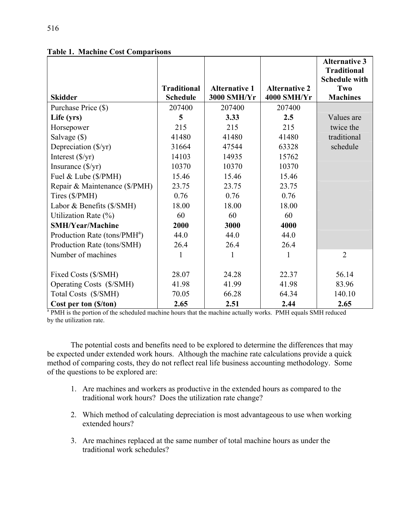|                                          |                    |                      |                      | <b>Alternative 3</b><br><b>Traditional</b> |
|------------------------------------------|--------------------|----------------------|----------------------|--------------------------------------------|
|                                          | <b>Traditional</b> | <b>Alternative 1</b> | <b>Alternative 2</b> | <b>Schedule with</b><br><b>Two</b>         |
| <b>Skidder</b>                           | <b>Schedule</b>    | 3000 SMH/Yr          | <b>4000 SMH/Yr</b>   | <b>Machines</b>                            |
| Purchase Price (\$)                      | 207400             | 207400               | 207400               |                                            |
| Life (yrs)                               | 5                  | 3.33                 | 2.5                  | Values are                                 |
| Horsepower                               | 215                | 215                  | 215                  | twice the                                  |
| Salvage (\$)                             | 41480              | 41480                | 41480                | traditional                                |
| Depreciation (\$/yr)                     | 31664              | 47544                | 63328                | schedule                                   |
| Interest $(\frac{f}{f})$                 | 14103              | 14935                | 15762                |                                            |
| Insurance $(\frac{f}{y})$                | 10370              | 10370                | 10370                |                                            |
| Fuel & Lube (\$/PMH)                     | 15.46              | 15.46                | 15.46                |                                            |
| Repair & Maintenance (\$/PMH)            | 23.75              | 23.75                | 23.75                |                                            |
| Tires (\$/PMH)                           | 0.76               | 0.76                 | 0.76                 |                                            |
| Labor & Benefits (\$/SMH)                | 18.00              | 18.00                | 18.00                |                                            |
| Utilization Rate (%)                     | 60                 | 60                   | 60                   |                                            |
| <b>SMH/Year/Machine</b>                  | 2000               | 3000                 | 4000                 |                                            |
| Production Rate (tons/PMH <sup>a</sup> ) | 44.0               | 44.0                 | 44.0                 |                                            |
| Production Rate (tons/SMH)               | 26.4               | 26.4                 | 26.4                 |                                            |
| Number of machines                       | 1                  | $\mathbf{1}$         | 1                    | $\overline{2}$                             |
|                                          |                    |                      |                      |                                            |
| Fixed Costs (\$/SMH)                     | 28.07              | 24.28                | 22.37                | 56.14                                      |
| Operating Costs (\$/SMH)                 | 41.98              | 41.99                | 41.98                | 83.96                                      |
| Total Costs (\$/SMH)                     | 70.05              | 66.28                | 64.34                | 140.10                                     |
| Cost per ton (\$/ton)                    | 2.65               | 2.51                 | 2.44                 | 2.65                                       |

**Table 1. Machine Cost Comparisons** 

<sup>a</sup> PMH is the portion of the scheduled machine hours that the machine actually works. PMH equals SMH reduced by the utilization rate.

The potential costs and benefits need to be explored to determine the differences that may be expected under extended work hours. Although the machine rate calculations provide a quick method of comparing costs, they do not reflect real life business accounting methodology. Some of the questions to be explored are:

- 1. Are machines and workers as productive in the extended hours as compared to the traditional work hours? Does the utilization rate change?
- 2. Which method of calculating depreciation is most advantageous to use when working extended hours?
- 3. Are machines replaced at the same number of total machine hours as under the traditional work schedules?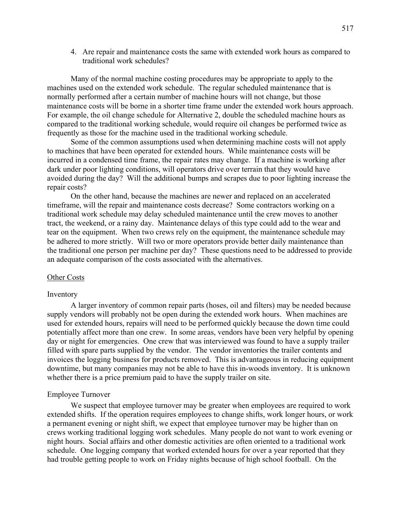4. Are repair and maintenance costs the same with extended work hours as compared to traditional work schedules?

Many of the normal machine costing procedures may be appropriate to apply to the machines used on the extended work schedule. The regular scheduled maintenance that is normally performed after a certain number of machine hours will not change, but those maintenance costs will be borne in a shorter time frame under the extended work hours approach. For example, the oil change schedule for Alternative 2, double the scheduled machine hours as compared to the traditional working schedule, would require oil changes be performed twice as frequently as those for the machine used in the traditional working schedule.

Some of the common assumptions used when determining machine costs will not apply to machines that have been operated for extended hours. While maintenance costs will be incurred in a condensed time frame, the repair rates may change. If a machine is working after dark under poor lighting conditions, will operators drive over terrain that they would have avoided during the day? Will the additional bumps and scrapes due to poor lighting increase the repair costs?

On the other hand, because the machines are newer and replaced on an accelerated timeframe, will the repair and maintenance costs decrease? Some contractors working on a traditional work schedule may delay scheduled maintenance until the crew moves to another tract, the weekend, or a rainy day. Maintenance delays of this type could add to the wear and tear on the equipment. When two crews rely on the equipment, the maintenance schedule may be adhered to more strictly. Will two or more operators provide better daily maintenance than the traditional one person per machine per day? These questions need to be addressed to provide an adequate comparison of the costs associated with the alternatives.

#### Other Costs

#### Inventory

A larger inventory of common repair parts (hoses, oil and filters) may be needed because supply vendors will probably not be open during the extended work hours. When machines are used for extended hours, repairs will need to be performed quickly because the down time could potentially affect more than one crew. In some areas, vendors have been very helpful by opening day or night for emergencies. One crew that was interviewed was found to have a supply trailer filled with spare parts supplied by the vendor. The vendor inventories the trailer contents and invoices the logging business for products removed. This is advantageous in reducing equipment downtime, but many companies may not be able to have this in-woods inventory. It is unknown whether there is a price premium paid to have the supply trailer on site.

#### Employee Turnover

We suspect that employee turnover may be greater when employees are required to work extended shifts. If the operation requires employees to change shifts, work longer hours, or work a permanent evening or night shift, we expect that employee turnover may be higher than on crews working traditional logging work schedules. Many people do not want to work evening or night hours. Social affairs and other domestic activities are often oriented to a traditional work schedule. One logging company that worked extended hours for over a year reported that they had trouble getting people to work on Friday nights because of high school football. On the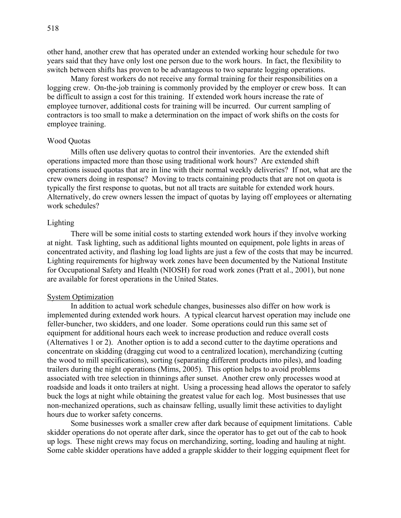other hand, another crew that has operated under an extended working hour schedule for two years said that they have only lost one person due to the work hours. In fact, the flexibility to switch between shifts has proven to be advantageous to two separate logging operations.

Many forest workers do not receive any formal training for their responsibilities on a logging crew. On-the-job training is commonly provided by the employer or crew boss. It can be difficult to assign a cost for this training. If extended work hours increase the rate of employee turnover, additional costs for training will be incurred. Our current sampling of contractors is too small to make a determination on the impact of work shifts on the costs for employee training.

## Wood Quotas

Mills often use delivery quotas to control their inventories. Are the extended shift operations impacted more than those using traditional work hours? Are extended shift operations issued quotas that are in line with their normal weekly deliveries? If not, what are the crew owners doing in response? Moving to tracts containing products that are not on quota is typically the first response to quotas, but not all tracts are suitable for extended work hours. Alternatively, do crew owners lessen the impact of quotas by laying off employees or alternating work schedules?

### Lighting

There will be some initial costs to starting extended work hours if they involve working at night. Task lighting, such as additional lights mounted on equipment, pole lights in areas of concentrated activity, and flashing log load lights are just a few of the costs that may be incurred. Lighting requirements for highway work zones have been documented by the National Institute for Occupational Safety and Health (NIOSH) for road work zones (Pratt et al., 2001), but none are available for forest operations in the United States.

#### System Optimization

In addition to actual work schedule changes, businesses also differ on how work is implemented during extended work hours. A typical clearcut harvest operation may include one feller-buncher, two skidders, and one loader. Some operations could run this same set of equipment for additional hours each week to increase production and reduce overall costs (Alternatives 1 or 2). Another option is to add a second cutter to the daytime operations and concentrate on skidding (dragging cut wood to a centralized location), merchandizing (cutting the wood to mill specifications), sorting (separating different products into piles), and loading trailers during the night operations (Mims, 2005). This option helps to avoid problems associated with tree selection in thinnings after sunset. Another crew only processes wood at roadside and loads it onto trailers at night. Using a processing head allows the operator to safely buck the logs at night while obtaining the greatest value for each log. Most businesses that use non-mechanized operations, such as chainsaw felling, usually limit these activities to daylight hours due to worker safety concerns.

Some businesses work a smaller crew after dark because of equipment limitations. Cable skidder operations do not operate after dark, since the operator has to get out of the cab to hook up logs. These night crews may focus on merchandizing, sorting, loading and hauling at night. Some cable skidder operations have added a grapple skidder to their logging equipment fleet for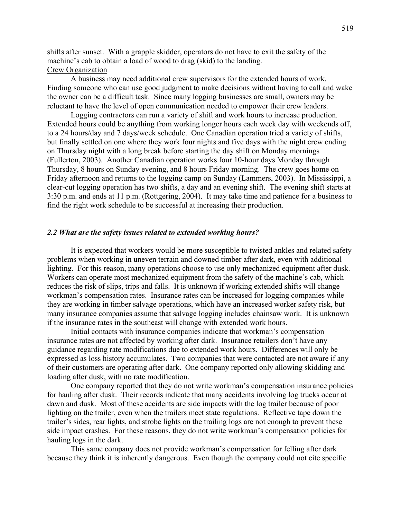shifts after sunset. With a grapple skidder, operators do not have to exit the safety of the machine's cab to obtain a load of wood to drag (skid) to the landing. Crew Organization

A business may need additional crew supervisors for the extended hours of work. Finding someone who can use good judgment to make decisions without having to call and wake the owner can be a difficult task. Since many logging businesses are small, owners may be reluctant to have the level of open communication needed to empower their crew leaders.

Logging contractors can run a variety of shift and work hours to increase production. Extended hours could be anything from working longer hours each week day with weekends off, to a 24 hours/day and 7 days/week schedule. One Canadian operation tried a variety of shifts, but finally settled on one where they work four nights and five days with the night crew ending on Thursday night with a long break before starting the day shift on Monday mornings (Fullerton, 2003). Another Canadian operation works four 10-hour days Monday through Thursday, 8 hours on Sunday evening, and 8 hours Friday morning. The crew goes home on Friday afternoon and returns to the logging camp on Sunday (Lammers, 2003). In Mississippi, a clear-cut logging operation has two shifts, a day and an evening shift. The evening shift starts at 3:30 p.m. and ends at 11 p.m. (Rottgering, 2004). It may take time and patience for a business to find the right work schedule to be successful at increasing their production.

#### *2.2 What are the safety issues related to extended working hours?*

It is expected that workers would be more susceptible to twisted ankles and related safety problems when working in uneven terrain and downed timber after dark, even with additional lighting. For this reason, many operations choose to use only mechanized equipment after dusk. Workers can operate most mechanized equipment from the safety of the machine's cab, which reduces the risk of slips, trips and falls. It is unknown if working extended shifts will change workman's compensation rates. Insurance rates can be increased for logging companies while they are working in timber salvage operations, which have an increased worker safety risk, but many insurance companies assume that salvage logging includes chainsaw work. It is unknown if the insurance rates in the southeast will change with extended work hours.

Initial contacts with insurance companies indicate that workman's compensation insurance rates are not affected by working after dark. Insurance retailers don't have any guidance regarding rate modifications due to extended work hours. Differences will only be expressed as loss history accumulates. Two companies that were contacted are not aware if any of their customers are operating after dark. One company reported only allowing skidding and loading after dusk, with no rate modification.

One company reported that they do not write workman's compensation insurance policies for hauling after dusk. Their records indicate that many accidents involving log trucks occur at dawn and dusk. Most of these accidents are side impacts with the log trailer because of poor lighting on the trailer, even when the trailers meet state regulations. Reflective tape down the trailer's sides, rear lights, and strobe lights on the trailing logs are not enough to prevent these side impact crashes. For these reasons, they do not write workman's compensation policies for hauling logs in the dark.

This same company does not provide workman's compensation for felling after dark because they think it is inherently dangerous. Even though the company could not cite specific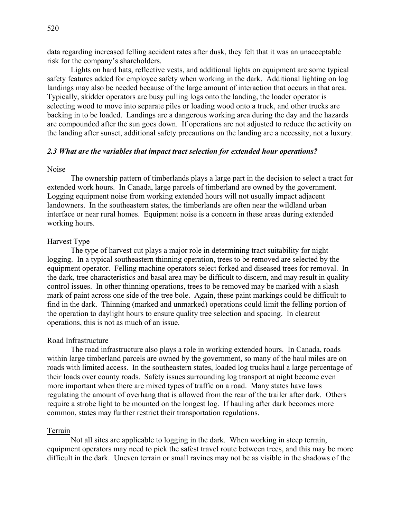data regarding increased felling accident rates after dusk, they felt that it was an unacceptable risk for the company's shareholders.

Lights on hard hats, reflective vests, and additional lights on equipment are some typical safety features added for employee safety when working in the dark. Additional lighting on log landings may also be needed because of the large amount of interaction that occurs in that area. Typically, skidder operators are busy pulling logs onto the landing, the loader operator is selecting wood to move into separate piles or loading wood onto a truck, and other trucks are backing in to be loaded. Landings are a dangerous working area during the day and the hazards are compounded after the sun goes down. If operations are not adjusted to reduce the activity on the landing after sunset, additional safety precautions on the landing are a necessity, not a luxury.

## *2.3 What are the variables that impact tract selection for extended hour operations?*

#### Noise

The ownership pattern of timberlands plays a large part in the decision to select a tract for extended work hours. In Canada, large parcels of timberland are owned by the government. Logging equipment noise from working extended hours will not usually impact adjacent landowners. In the southeastern states, the timberlands are often near the wildland urban interface or near rural homes. Equipment noise is a concern in these areas during extended working hours.

## Harvest Type

The type of harvest cut plays a major role in determining tract suitability for night logging. In a typical southeastern thinning operation, trees to be removed are selected by the equipment operator. Felling machine operators select forked and diseased trees for removal. In the dark, tree characteristics and basal area may be difficult to discern, and may result in quality control issues. In other thinning operations, trees to be removed may be marked with a slash mark of paint across one side of the tree bole. Again, these paint markings could be difficult to find in the dark. Thinning (marked and unmarked) operations could limit the felling portion of the operation to daylight hours to ensure quality tree selection and spacing. In clearcut operations, this is not as much of an issue.

#### Road Infrastructure

The road infrastructure also plays a role in working extended hours. In Canada, roads within large timberland parcels are owned by the government, so many of the haul miles are on roads with limited access. In the southeastern states, loaded log trucks haul a large percentage of their loads over county roads. Safety issues surrounding log transport at night become even more important when there are mixed types of traffic on a road. Many states have laws regulating the amount of overhang that is allowed from the rear of the trailer after dark. Others require a strobe light to be mounted on the longest log. If hauling after dark becomes more common, states may further restrict their transportation regulations.

#### Terrain

Not all sites are applicable to logging in the dark. When working in steep terrain, equipment operators may need to pick the safest travel route between trees, and this may be more difficult in the dark. Uneven terrain or small ravines may not be as visible in the shadows of the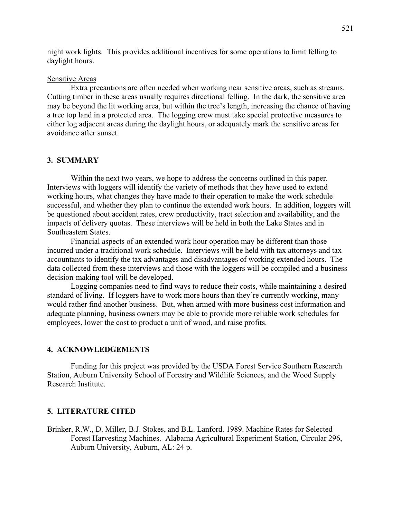night work lights. This provides additional incentives for some operations to limit felling to daylight hours.

## Sensitive Areas

Extra precautions are often needed when working near sensitive areas, such as streams. Cutting timber in these areas usually requires directional felling. In the dark, the sensitive area may be beyond the lit working area, but within the tree's length, increasing the chance of having a tree top land in a protected area. The logging crew must take special protective measures to either log adjacent areas during the daylight hours, or adequately mark the sensitive areas for avoidance after sunset.

### **3. SUMMARY**

Within the next two years, we hope to address the concerns outlined in this paper. Interviews with loggers will identify the variety of methods that they have used to extend working hours, what changes they have made to their operation to make the work schedule successful, and whether they plan to continue the extended work hours. In addition, loggers will be questioned about accident rates, crew productivity, tract selection and availability, and the impacts of delivery quotas. These interviews will be held in both the Lake States and in Southeastern States.

Financial aspects of an extended work hour operation may be different than those incurred under a traditional work schedule. Interviews will be held with tax attorneys and tax accountants to identify the tax advantages and disadvantages of working extended hours. The data collected from these interviews and those with the loggers will be compiled and a business decision-making tool will be developed.

Logging companies need to find ways to reduce their costs, while maintaining a desired standard of living. If loggers have to work more hours than they're currently working, many would rather find another business. But, when armed with more business cost information and adequate planning, business owners may be able to provide more reliable work schedules for employees, lower the cost to product a unit of wood, and raise profits.

## **4. ACKNOWLEDGEMENTS**

Funding for this project was provided by the USDA Forest Service Southern Research Station, Auburn University School of Forestry and Wildlife Sciences, and the Wood Supply Research Institute.

## **5. LITERATURE CITED**

Brinker, R.W., D. Miller, B.J. Stokes, and B.L. Lanford. 1989. Machine Rates for Selected Forest Harvesting Machines. Alabama Agricultural Experiment Station, Circular 296, Auburn University, Auburn, AL: 24 p.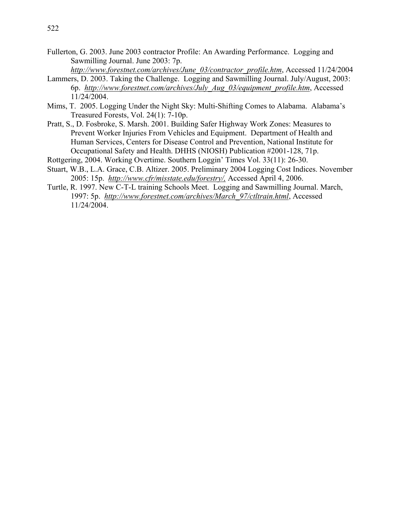- Fullerton, G. 2003. June 2003 contractor Profile: An Awarding Performance. Logging and Sawmilling Journal. June 2003: 7p.
	- *http://www.forestnet.com/archives/June\_03/contractor\_profile.htm*, Accessed 11/24/2004
- Lammers, D. 2003. Taking the Challenge. Logging and Sawmilling Journal. July/August, 2003: 6p. *http://www.forestnet.com/archives/July\_Aug\_03/equipment\_profile.htm*, Accessed 11/24/2004.
- Mims, T. 2005. Logging Under the Night Sky: Multi-Shifting Comes to Alabama. Alabama's Treasured Forests, Vol. 24(1): 7-10p.
- Pratt, S., D. Fosbroke, S. Marsh. 2001. Building Safer Highway Work Zones: Measures to Prevent Worker Injuries From Vehicles and Equipment. Department of Health and Human Services, Centers for Disease Control and Prevention, National Institute for Occupational Safety and Health. DHHS (NIOSH) Publication #2001-128, 71p.
- Rottgering, 2004. Working Overtime. Southern Loggin' Times Vol. 33(11): 26-30.
- Stuart, W.B., L.A. Grace, C.B. Altizer. 2005. Preliminary 2004 Logging Cost Indices. November 2005: 15p. *http://www.cfr/misstate.edu/forestry/,* Accessed April 4, 2006.
- Turtle, R. 1997. New C-T-L training Schools Meet. Logging and Sawmilling Journal. March, 1997: 5p. *http://www.forestnet.com/archives/March\_97/ctltrain.html*, Accessed 11/24/2004.